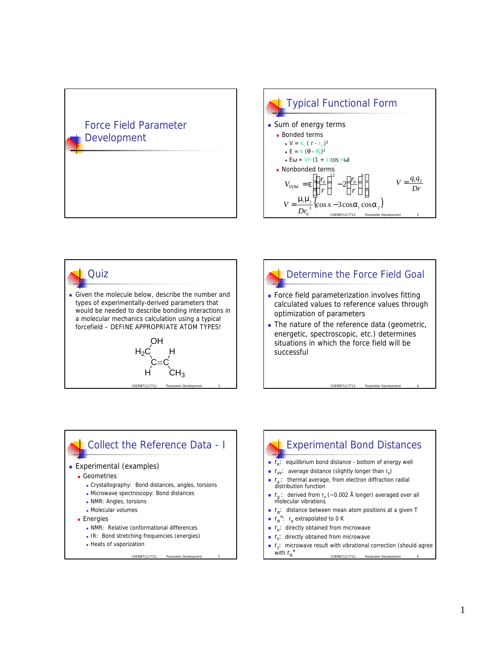







- **Force field parameterization involves fitting** calculated values to reference values through optimization of parameters
- The nature of the reference data (geometric, energetic, spectroscopic, etc.) determines situations in which the force field will be successful

CHEM8711/7711: Parameter Developm

### Collect the Reference Data - I

- **Experimental (examples)** 
	- **Geometries** 
		- <sup>n</sup> Crystallography: Bond distances, angles, torsions
		- <sup>n</sup> Microwave spectroscopy: Bond distances
		- **NMR: Angles, torsions**
		- **Nolecular volumes**
	- **Energies** 
		- **NMR:** Relative conformational differences
		- **.** IR: Bond stretching frequencies (energies)
		- **Heats of vaporization**

CHEM8711/7711: Parameter Developm

#### CHEM8711/7711: Parameter Development 6 Experimental Bond Distances  $\blacksquare$   $\Gamma_{\rm e}$ : equilibrium bond distance - bottom of energy well  $\blacksquare$   $\Gamma_{\text{av}}$ : average distance (slightly longer than  $r_{\text{e}}$ )  $r_a$ : thermal average, from electron diffraction radial distribution function **r**<sub>g</sub>: derived from  $r_a$  (~0.002 Å longer) averaged over all molecular vibrations **F**<sub>α</sub>: distance between mean atom positions at a given T **n**  $r_{\alpha}^{\circ}$ :  $r_{\alpha}$  extrapolated to 0 K  $r_{o}$ : directly obtained from microwave  $r_s$ : directly obtained from microwave  $r_z$ : microwave result with vibrational correction (should agree with  $r_\alpha^{\,\circ}$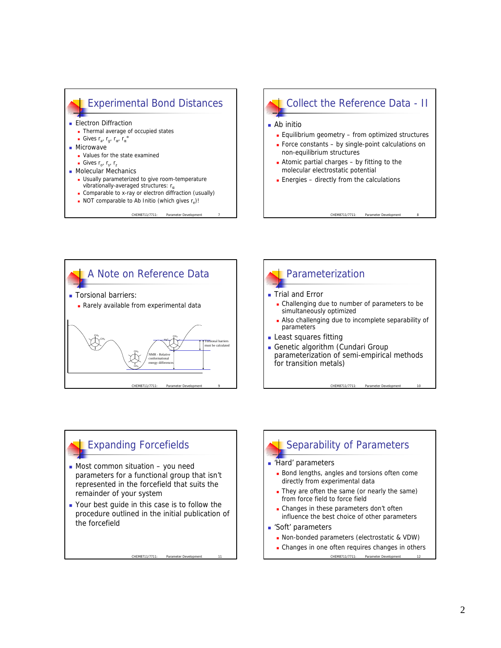

# Collect the Reference Data - II

#### $\blacksquare$  Ab initio

- **Equilibrium geometry from optimized structures**
- Force constants by single-point calculations on non-equilibrium structures
- $\blacksquare$  Atomic partial charges by fitting to the molecular electrostatic potential
- **Energies directly from the calculations**

CHEM8711/7711:





## Expanding Forcefields

- $\blacksquare$  Most common situation you need parameters for a functional group that isn't represented in the forcefield that suits the remainder of your system
- Your best guide in this case is to follow the procedure outlined in the initial publication of the forcefield

CHEM8711/7711: Parameter Developm

## Separability of Parameters

#### **Hard'** parameters

- **Bond lengths, angles and torsions often come** directly from experimental data
- They are often the same (or nearly the same) from force field to force field
- **.** Changes in these parameters don't often influence the best choice of other parameters
- 'Soft' parameters
	- <sup>n</sup> Non-bonded parameters (electrostatic & VDW)
	- Changes in one often requires changes in others

CHEM8711/7711: Parameter Development